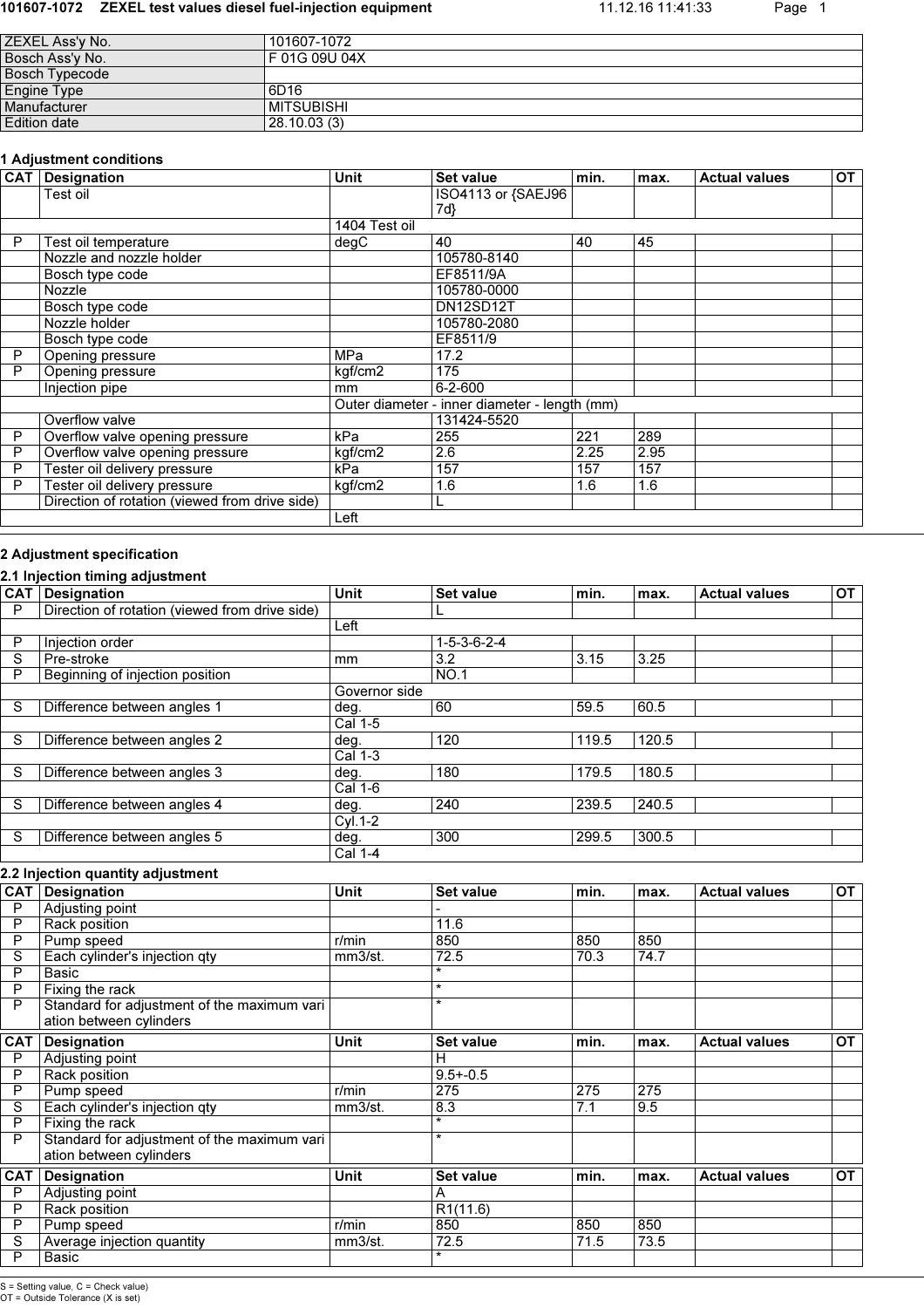#### 101607-1072 ZEXEL test values diesel fuel-injection equipment 11.12.16 11:41:33 Page 1

| 101607-1072   |
|---------------|
| F 01G 09U 04X |
|               |
| 6D16          |
| MITSUBISHI    |
| 28.10.03 (3)  |
|               |

### 1 Adjustment conditions

|   | r Aujustment conuntions                        |               |                    |      |      |                      |           |
|---|------------------------------------------------|---------------|--------------------|------|------|----------------------|-----------|
|   | <b>CAT</b> Designation                         | <b>Unit</b>   | Set value          | min. | max. | <b>Actual values</b> | <b>OT</b> |
|   | Test oil                                       |               | ISO4113 or {SAEJ96 |      |      |                      |           |
|   |                                                |               | 7d}                |      |      |                      |           |
|   |                                                | 1404 Test oil |                    |      |      |                      |           |
| P | Test oil temperature                           | degC          | 40                 | 40   | 45   |                      |           |
|   | Nozzle and nozzle holder                       |               | 105780-8140        |      |      |                      |           |
|   | Bosch type code                                |               | EF8511/9A          |      |      |                      |           |
|   | Nozzle                                         |               | 105780-0000        |      |      |                      |           |
|   | Bosch type code                                |               | DN12SD12T          |      |      |                      |           |
|   | Nozzle holder                                  |               | 105780-2080        |      |      |                      |           |
|   | Bosch type code                                |               | EF8511/9           |      |      |                      |           |
| P | Opening pressure                               | <b>MPa</b>    | 17.2               |      |      |                      |           |
| P | Opening pressure                               | kgf/cm2       | 175                |      |      |                      |           |
|   | Injection pipe                                 | mm            | $6 - 2 - 600$      |      |      |                      |           |
|   | Outer diameter - inner diameter - length (mm)  |               |                    |      |      |                      |           |
|   | Overflow valve                                 |               | 131424-5520        |      |      |                      |           |
| P | Overflow valve opening pressure                | kPa           | 255                | 221  | 289  |                      |           |
| P | Overflow valve opening pressure                | kgf/cm2       | 2.6                | 2.25 | 2.95 |                      |           |
| P | Tester oil delivery pressure                   | kPa           | 157                | 157  | 157  |                      |           |
| P | Tester oil delivery pressure                   | kgf/cm2       | 1.6                | 1.6  | 1.6  |                      |           |
|   | Direction of rotation (viewed from drive side) |               | ┗                  |      |      |                      |           |
|   |                                                | Left          |                    |      |      |                      |           |

## 2 Adjustment specification

## 2.1 Injection timing adjustment

| <b>CAT</b> | Designation                                    | Unit          | Set value               | min.  | max.  | <b>Actual values</b> | OT |
|------------|------------------------------------------------|---------------|-------------------------|-------|-------|----------------------|----|
| P          | Direction of rotation (viewed from drive side) |               |                         |       |       |                      |    |
|            |                                                | Left          |                         |       |       |                      |    |
| P          | Injection order                                |               | $1 - 5 - 3 - 6 - 2 - 4$ |       |       |                      |    |
| S          | Pre-stroke                                     | mm            | 3.2                     | 3.15  | 3.25  |                      |    |
| P          | Beginning of injection position                |               | NO.1                    |       |       |                      |    |
|            |                                                | Governor side |                         |       |       |                      |    |
| S          | Difference between angles 1                    | deg.          | 60                      | 59.5  | 60.5  |                      |    |
|            |                                                | Cal 1-5       |                         |       |       |                      |    |
| S          | Difference between angles 2                    | deg.          | 120                     | 119.5 | 120.5 |                      |    |
|            |                                                | Cal 1-3       |                         |       |       |                      |    |
| S          | Difference between angles 3                    | deg.          | 180                     | 179.5 | 180.5 |                      |    |
|            |                                                | Cal 1-6       |                         |       |       |                      |    |
| S          | Difference between angles 4                    | deg.          | 240                     | 239.5 | 240.5 |                      |    |
|            |                                                | $Cyl.1-2$     |                         |       |       |                      |    |
| S          | Difference between angles 5                    | deg.          | 300                     | 299.5 | 300.5 |                      |    |
|            |                                                | Cal 1-4       |                         |       |       |                      |    |

#### 2.2 Injection quantity adjustment

| $\overline{CAT}$ | Designation                                 | Unit     | <b>Set value</b> | min. | max. | <b>Actual values</b> | OT |
|------------------|---------------------------------------------|----------|------------------|------|------|----------------------|----|
| P                | Adjusting point                             |          |                  |      |      |                      |    |
| P                | Rack position                               |          | 11.6             |      |      |                      |    |
| P                | Pump speed                                  | $r/m$ in | 850              | 850  | 850  |                      |    |
| S                | Each cylinder's injection qty               | mm3/st.  | 72.5             | 70.3 | 74.7 |                      |    |
| P                | Basic                                       |          | $\star$          |      |      |                      |    |
| P                | Fixing the rack                             |          | $\star$          |      |      |                      |    |
| P                | Standard for adjustment of the maximum vari |          | $\star$          |      |      |                      |    |
|                  | ation between cylinders                     |          |                  |      |      |                      |    |
| <b>CAT</b>       | <b>Designation</b>                          | Unit     | <b>Set value</b> | min. | max. | <b>Actual values</b> | OT |
| P                | Adjusting point                             |          | н                |      |      |                      |    |
| P                | Rack position                               |          | $9.5 + -0.5$     |      |      |                      |    |
| P                | Pump speed                                  | r/min    | 275              | 275  | 275  |                      |    |
| S                | Each cylinder's injection gty               | mm3/st.  | 8.3              | 7.1  | 9.5  |                      |    |
| P                | Fixing the rack                             |          | $\star$          |      |      |                      |    |
| P                | Standard for adjustment of the maximum vari |          | $\star$          |      |      |                      |    |
|                  | ation between cylinders                     |          |                  |      |      |                      |    |
| <b>CAT</b>       | <b>Designation</b>                          | Unit     | <b>Set value</b> | min. | max. | <b>Actual values</b> | OT |
| P                | Adjusting point                             |          | A                |      |      |                      |    |
| P                | Rack position                               |          | R1(11.6)         |      |      |                      |    |
| P                | Pump speed                                  | r/min    | 850              | 850  | 850  |                      |    |
| $\overline{s}$   | Average injection quantity                  | mm3/st.  | 72.5             | 71.5 | 73.5 |                      |    |
| P                | Basic                                       |          | $\star$          |      |      |                      |    |

S = Setting value, C = Check value) OT = Outside Tolerance (X is set)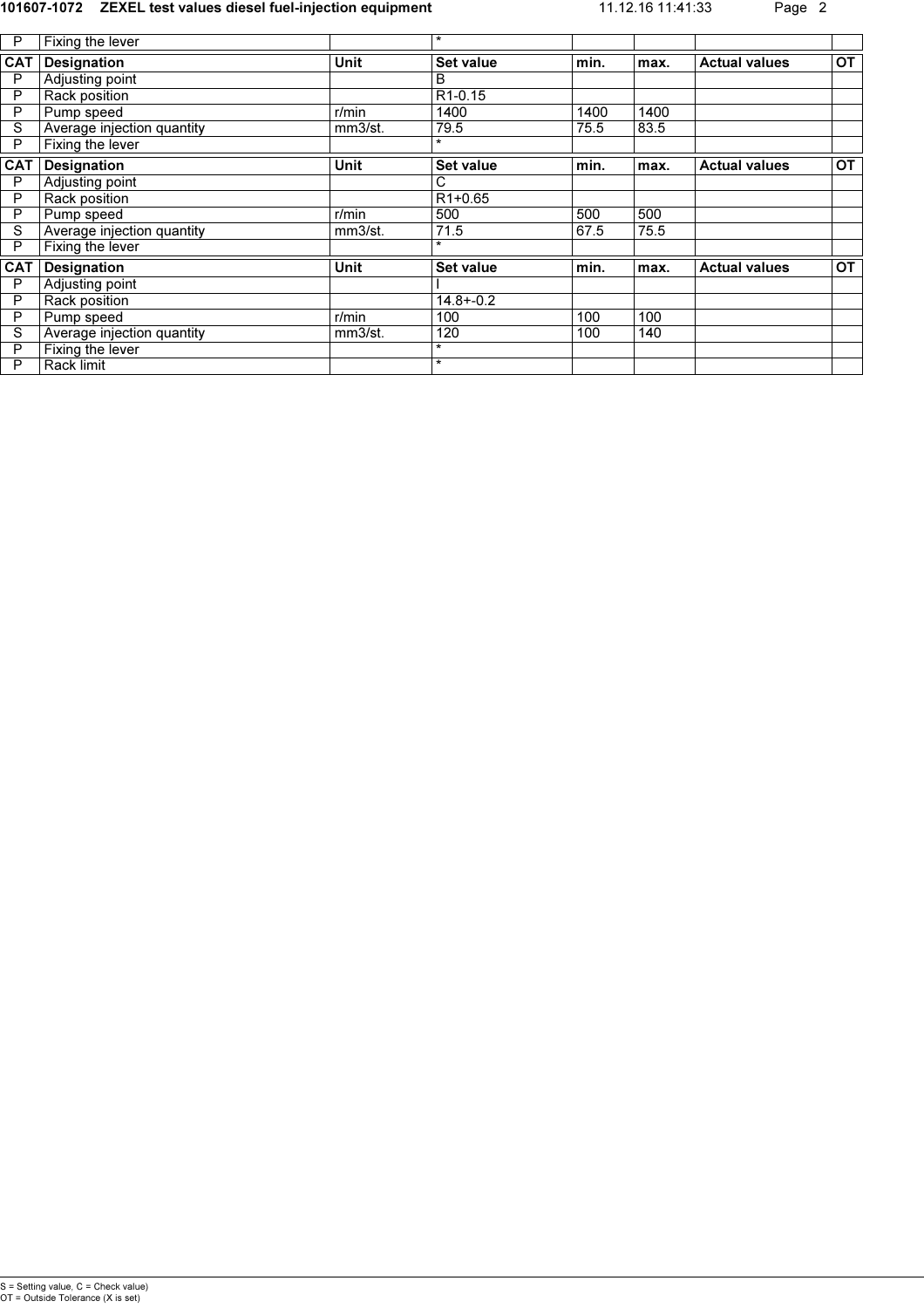#### 101607-1072 ZEXEL test values diesel fuel-injection equipment 11.12.16 11:41:33 Page 2

| P          | Fixing the lever           |             | $\star$              |      |      |                      |           |
|------------|----------------------------|-------------|----------------------|------|------|----------------------|-----------|
| <b>CAT</b> | Designation                | Unit        | <b>Set value</b>     | min. | max. | <b>Actual values</b> | OT        |
| P          | Adjusting point            |             | В                    |      |      |                      |           |
| P          | Rack position              |             | R <sub>1</sub> -0.15 |      |      |                      |           |
| P          | Pump speed                 | r/min       | 1400                 | 1400 | 1400 |                      |           |
| S          | Average injection quantity | mm3/st.     | 79.5                 | 75.5 | 83.5 |                      |           |
| P          | Fixing the lever           |             | $\star$              |      |      |                      |           |
| <b>CAT</b> | Designation                | <b>Unit</b> | Set value            | min. | max. | <b>Actual values</b> | OT        |
| P          | Adjusting point            |             | C                    |      |      |                      |           |
| P          | Rack position              |             | R <sub>1+0.65</sub>  |      |      |                      |           |
| P          | Pump speed                 | $r/m$ in    | 500                  | 500  | 500  |                      |           |
| S          | Average injection quantity | mm3/st.     | 71.5                 | 67.5 | 75.5 |                      |           |
| P          | Fixing the lever           |             | $\star$              |      |      |                      |           |
| <b>CAT</b> | Designation                | <b>Unit</b> | Set value            | min. | max. | <b>Actual values</b> | <b>OT</b> |
| P          | Adjusting point            |             |                      |      |      |                      |           |
| P          | Rack position              |             | $14.8 + -0.2$        |      |      |                      |           |
| P          | Pump speed                 | r/min       | 100                  | 100  | 100  |                      |           |
| S          | Average injection quantity | mm3/st.     | 120                  | 100  | 140  |                      |           |
| P          | Fixing the lever           |             | $\star$              |      |      |                      |           |
| P          | Rack limit                 |             | $\star$              |      |      |                      |           |
|            |                            |             |                      |      |      |                      |           |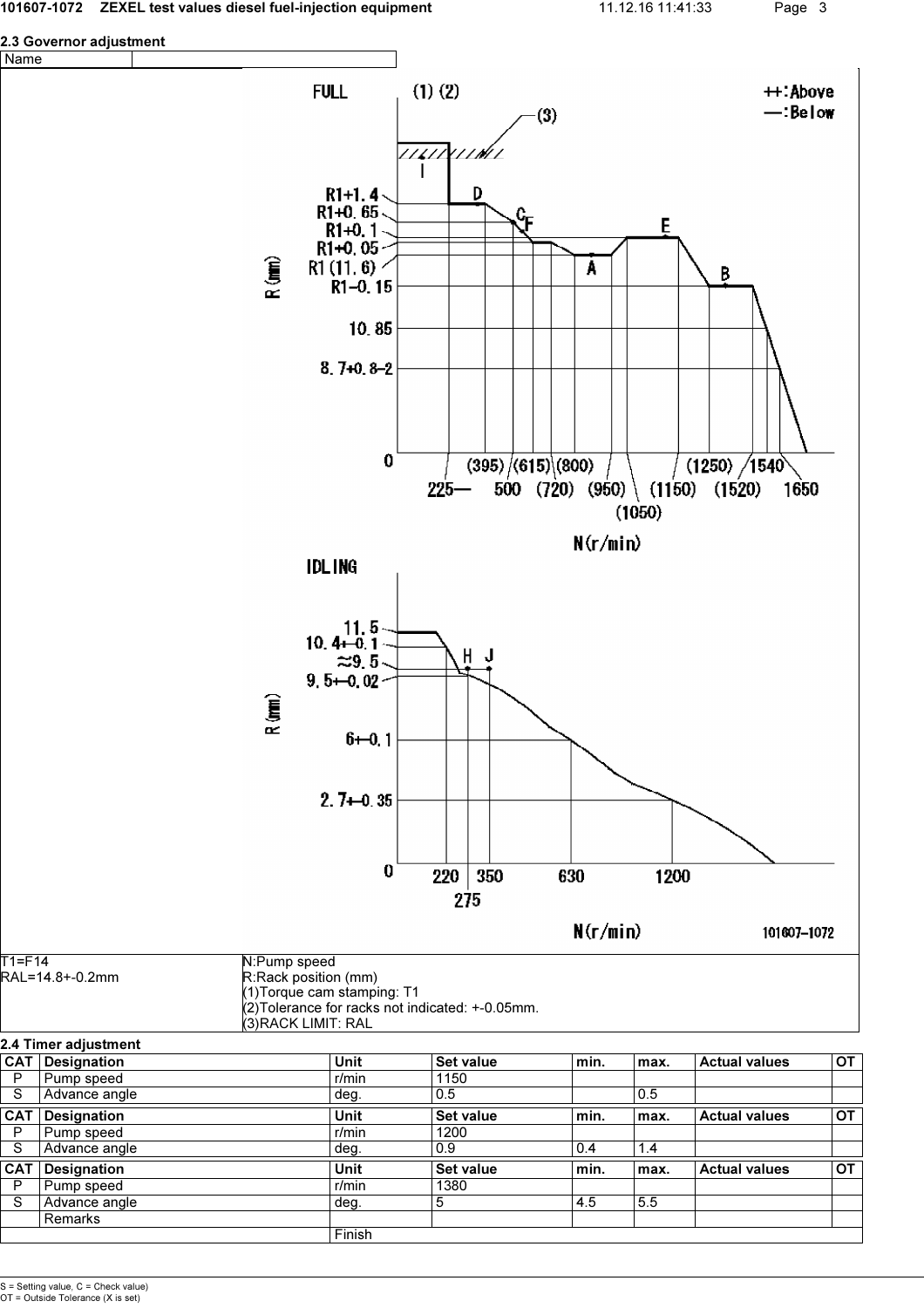



Finish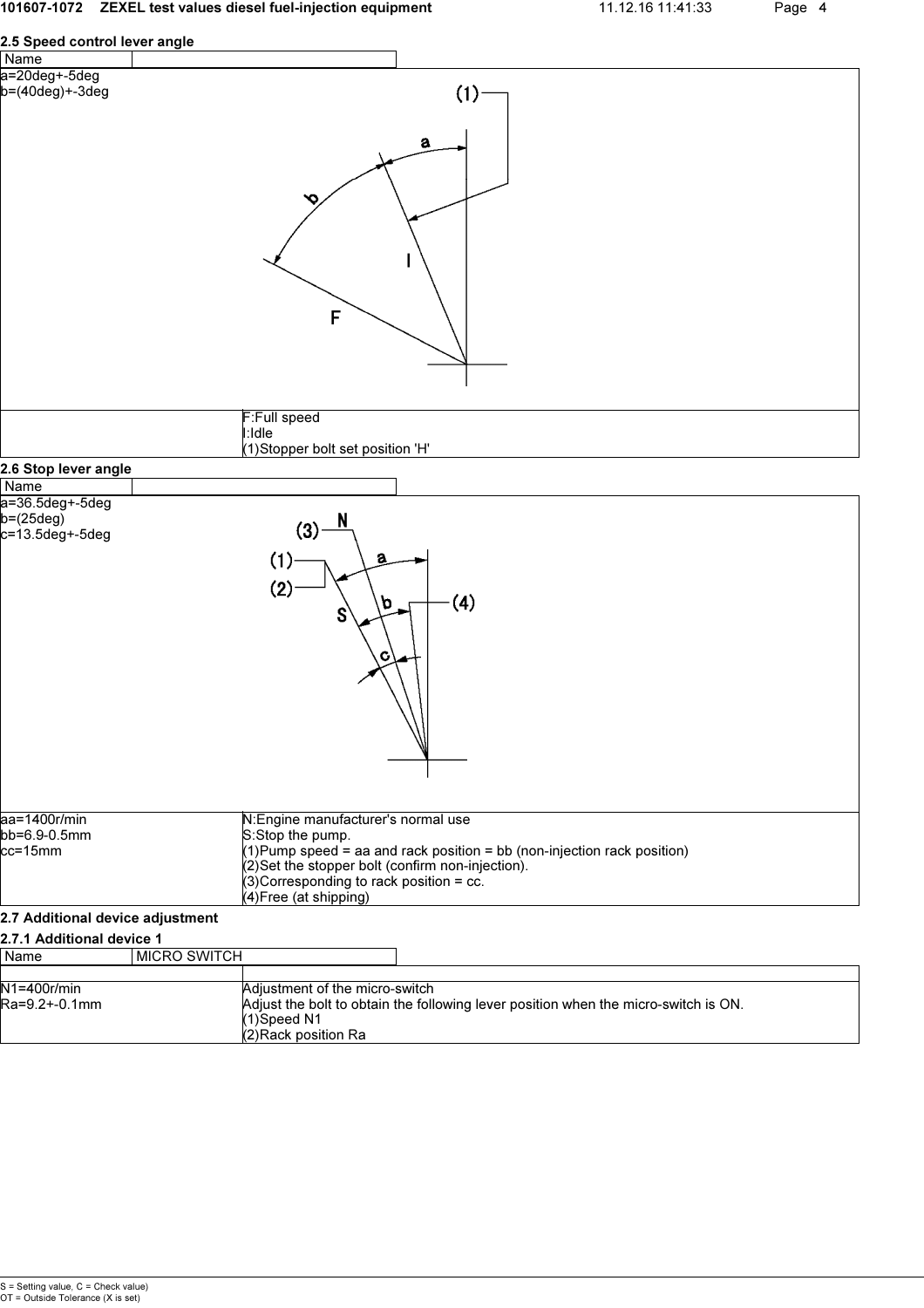# 101607-1072 ZEXEL test values diesel fuel-injection equipment 11.12.16 11:41:33 Page 4 2.5 Speed control lever angle Name a=20deg+-5deg  $(1)$ b=(40deg)+-3deg a Ó F F:Full speed I:Idle (1)Stopper bolt set position 'H' 2.6 Stop lever angle Name

| Name                                                |                                                         |                                                                            |
|-----------------------------------------------------|---------------------------------------------------------|----------------------------------------------------------------------------|
| a=36.5deg+-5deg<br>$b = (25deg)$<br>c=13.5deg+-5deg | N<br>(3)<br>(1)<br>a<br>(2)<br>O.<br>S<br>c             | (4)                                                                        |
| aa=1400r/min<br>bb=6.9-0.5mm                        | N: Engine manufacturer's normal use<br>S:Stop the pump. |                                                                            |
| cc=15mm                                             |                                                         | $(1)$ Pump speed = aa and rack position = bb (non-injection rack position) |
|                                                     |                                                         |                                                                            |
|                                                     | (2) Set the stopper bolt (confirm non-injection).       |                                                                            |
|                                                     | (3) Corresponding to rack position = cc.                |                                                                            |
|                                                     | (4) Free (at shipping)                                  |                                                                            |

## 2.7 Additional device adjustment

## 2.7.1 Additional device 1

| Name                                              | I MICRO SWITCH |                        |                                                                                     |
|---------------------------------------------------|----------------|------------------------|-------------------------------------------------------------------------------------|
|                                                   |                |                        |                                                                                     |
| $N1 = 400r/min$<br>Adjustment of the micro-switch |                |                        |                                                                                     |
| Ra=9.2+-0.1mm                                     |                |                        | Adjust the bolt to obtain the following lever position when the micro-switch is ON. |
|                                                   |                | $(1)$ Speed N1         |                                                                                     |
|                                                   |                | $(2)$ Rack position Ra |                                                                                     |